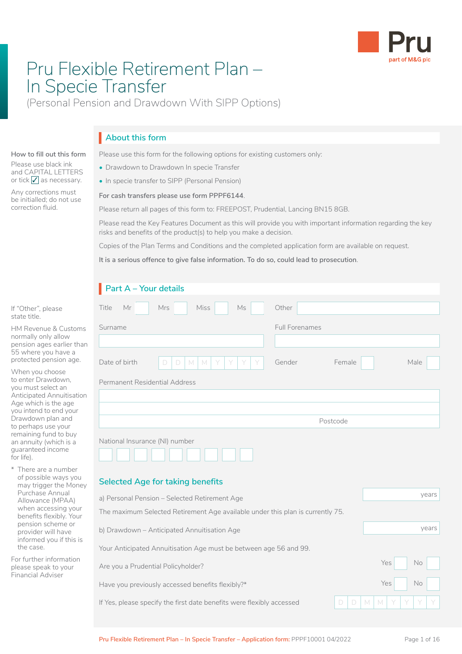

# Pru Flexible Retirement Plan – In Specie Transfer

(Personal Pension and Drawdown With SIPP Options)

## **About this form** I

Please use this form for the following options for existing customers only:

- Drawdown to Drawdown In specie Transfer
- In specie transfer to SIPP (Personal Pension)

#### **For cash transfers please use form PPPF6144**.

Please return all pages of this form to: FREEPOST, Prudential, Lancing BN15 8GB.

Please read the Key Features Document as this will provide you with important information regarding the key risks and benefits of the product(s) to help you make a decision.

Copies of the Plan Terms and Conditions and the completed application form are available on request.

**It is a serious offence to give false information. To do so, could lead to prosecution**.

| Part A - Your details                                                          |                       |          |     |       |
|--------------------------------------------------------------------------------|-----------------------|----------|-----|-------|
| Title<br>Miss<br>Mr<br>Ms<br>Mrs                                               | Other                 |          |     |       |
| Surname                                                                        | <b>Full Forenames</b> |          |     |       |
|                                                                                |                       |          |     |       |
| Date of birth<br>M<br>M<br>D<br>D                                              | Gender                | Female   |     | Male  |
| Permanent Residential Address                                                  |                       |          |     |       |
|                                                                                |                       |          |     |       |
|                                                                                |                       |          |     |       |
|                                                                                |                       | Postcode |     |       |
| National Insurance (NI) number                                                 |                       |          |     |       |
| <b>Selected Age for taking benefits</b>                                        |                       |          |     |       |
| a) Personal Pension - Selected Retirement Age                                  |                       |          |     |       |
| The maximum Selected Retirement Age available under this plan is currently 75. |                       |          |     | years |
| b) Drawdown - Anticipated Annuitisation Age                                    |                       |          |     | years |
| Your Anticipated Annuitisation Age must be between age 56 and 99.              |                       |          |     |       |
| Are you a Prudential Policyholder?                                             |                       |          | Yes | No    |
| Have you previously accessed benefits flexibly?*                               |                       |          | Yes | No    |

### and CAPITAL LETTERS or tick  $\sqrt{\ }$  as necessary.

**How to fill out this form** Please use black ink

Any corrections must be initialled; do not use correction fluid.

If "Other", please state title.

HM Revenue & Custor normally only allow pension ages earlier th 55 where you have a protected pension age.

When you choose to enter Drawdown, you must select an Anticipated Annuitisati Age which is the age you intend to end your Drawdown plan and to perhaps use your remaining fund to buy an annuity (which is a guaranteed income for life).

There are a number of possible ways you may trigger the Mon Purchase Annual Allowance (MPAA) when accessing you benefits flexibly. You pension scheme or provider will have informed you if this the case.

For further information please speak to your Financial Adviser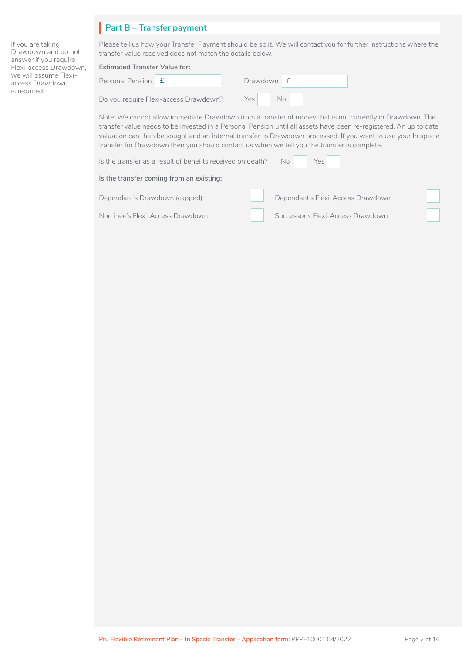## **Part B – Transfer payment**

If you are taking Drawdown and do not answer if you require Flexi-access Drawdown, we will assume Flexiaccess Drawdown is required.

| Please tell us how your Transfer Payment should be split. We will contact you for further instructions where the |  |
|------------------------------------------------------------------------------------------------------------------|--|
| transfer value received does not match the details below. I                                                      |  |

#### **Estimated Transfer Value for:**

| Personal Pension   £ |  | Drawdown |
|----------------------|--|----------|
|----------------------|--|----------|

Do you require Flexi-access Drawdown?

|                   | $Drawdown \, \mathsf{E}$ |  |  |  |
|-------------------|--------------------------|--|--|--|
| -access Drawdown? | Yes                      |  |  |  |

Note: We cannot allow immediate Drawdown from a transfer of money that is not currently in Drawdown. The transfer value needs to be invested in a Personal Pension until all assets have been re-registered. An up to date valuation can then be sought and an internal transfer to Drawdown processed. If you want to use your In specie transfer for Drawdown then you should contact us when we tell you the transfer is complete.

Is the transfer as a result of benefits received on death? No Yes l Yes

n

[ **l** 

#### **Is the transfer coming from an existing:**

| Dependant's Drawdown (capped) |  |
|-------------------------------|--|
|                               |  |

Nominee's Flexi-Access Drawdown

| Dependant's Flexi-Access Drawdown |
|-----------------------------------|
| Successor's Flexi-Access Drawdown |

 $\Box$ 

[ **l**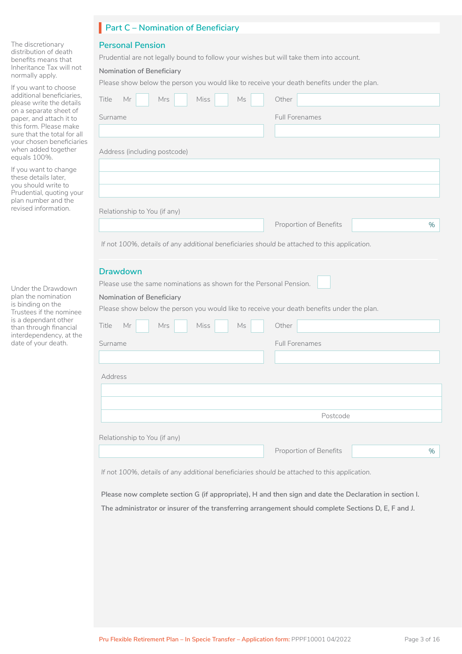#### **Part C – Nomination of Beneficiary**

#### **Personal Pension**

Prudential are not legally bound to follow your wishes but will take them into account.

#### **Nomination of Beneficiary**

Please show below the person you would like to receive your death benefits under the plan.

| Surname                                                            |     |             |    |       | <b>Full Forenames</b>                                                                                  |          |  |  |
|--------------------------------------------------------------------|-----|-------------|----|-------|--------------------------------------------------------------------------------------------------------|----------|--|--|
|                                                                    |     |             |    |       |                                                                                                        |          |  |  |
| Address (including postcode)                                       |     |             |    |       |                                                                                                        |          |  |  |
|                                                                    |     |             |    |       |                                                                                                        |          |  |  |
|                                                                    |     |             |    |       |                                                                                                        |          |  |  |
|                                                                    |     |             |    |       |                                                                                                        |          |  |  |
| Relationship to You (if any)                                       |     |             |    |       |                                                                                                        |          |  |  |
|                                                                    |     |             |    |       | Proportion of Benefits                                                                                 |          |  |  |
|                                                                    |     |             |    |       | If not 100%, details of any additional beneficiaries should be attached to this application.           |          |  |  |
|                                                                    |     |             |    |       |                                                                                                        |          |  |  |
| <b>Drawdown</b>                                                    |     |             |    |       |                                                                                                        |          |  |  |
| Please use the same nominations as shown for the Personal Pension. |     |             |    |       |                                                                                                        |          |  |  |
| Nomination of Beneficiary                                          |     |             |    |       |                                                                                                        |          |  |  |
|                                                                    |     |             |    |       |                                                                                                        |          |  |  |
|                                                                    |     |             |    |       | Please show below the person you would like to receive your death benefits under the plan.             |          |  |  |
|                                                                    | Mrs | <b>Miss</b> | Ms | Other |                                                                                                        |          |  |  |
| Title<br>Mr                                                        |     |             |    |       |                                                                                                        |          |  |  |
| Surname                                                            |     |             |    |       | <b>Full Forenames</b>                                                                                  |          |  |  |
|                                                                    |     |             |    |       |                                                                                                        |          |  |  |
| Address                                                            |     |             |    |       |                                                                                                        |          |  |  |
|                                                                    |     |             |    |       |                                                                                                        |          |  |  |
|                                                                    |     |             |    |       |                                                                                                        |          |  |  |
|                                                                    |     |             |    |       |                                                                                                        | Postcode |  |  |
|                                                                    |     |             |    |       |                                                                                                        |          |  |  |
| Relationship to You (if any)                                       |     |             |    |       | Proportion of Benefits                                                                                 |          |  |  |
|                                                                    |     |             |    |       |                                                                                                        |          |  |  |
|                                                                    |     |             |    |       | If not 100%, details of any additional beneficiaries should be attached to this application.           |          |  |  |
|                                                                    |     |             |    |       | Please now complete section G (if appropriate), H and then sign and date the Declaration in section I. |          |  |  |

The discretionary distribution of death benefits means that Inheritance Tax will not normally apply.

If you want to choose additional beneficiarie please write the detail on a separate sheet of paper, and attach it to this form. Please make sure that the total for your chosen beneficial when added together equals 100%.

If you want to change these details later, you should write to Prudential, quoting you plan number and the revised information.

Under the Drawdown plan the nomination is binding on the Trustees if the nomine is a dependant other than through financial interdependency, at th date of your death.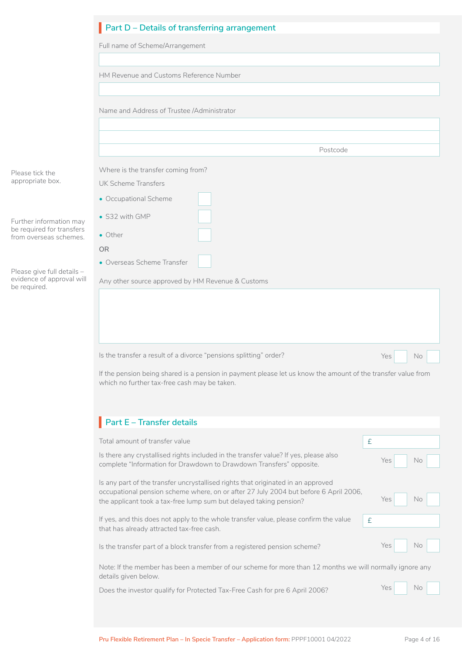|                                                         | Part D - Details of transferring arrangement                                                                                                                 |            |
|---------------------------------------------------------|--------------------------------------------------------------------------------------------------------------------------------------------------------------|------------|
|                                                         | Full name of Scheme/Arrangement                                                                                                                              |            |
|                                                         |                                                                                                                                                              |            |
|                                                         | HM Revenue and Customs Reference Number                                                                                                                      |            |
|                                                         | Name and Address of Trustee /Administrator                                                                                                                   |            |
|                                                         |                                                                                                                                                              |            |
|                                                         |                                                                                                                                                              |            |
|                                                         | Postcode                                                                                                                                                     |            |
| Please tick the<br>appropriate box.                     | Where is the transfer coming from?<br>UK Scheme Transfers                                                                                                    |            |
|                                                         | • Occupational Scheme                                                                                                                                        |            |
|                                                         | • S32 with GMP                                                                                                                                               |            |
| Further information may<br>be required for transfers    | • Other                                                                                                                                                      |            |
| from overseas schemes.                                  | <b>OR</b>                                                                                                                                                    |            |
|                                                         | • Overseas Scheme Transfer                                                                                                                                   |            |
| Please give full details -<br>evidence of approval will | Any other source approved by HM Revenue & Customs                                                                                                            |            |
| be required.                                            |                                                                                                                                                              |            |
|                                                         |                                                                                                                                                              |            |
|                                                         |                                                                                                                                                              |            |
|                                                         |                                                                                                                                                              |            |
|                                                         | Is the transfer a result of a divorce "pensions splitting" order?                                                                                            | Yes<br>No  |
|                                                         | If the pension being shared is a pension in payment please let us know the amount of the transfer value from<br>which no further tax-free cash may be taken. |            |
|                                                         |                                                                                                                                                              |            |
|                                                         |                                                                                                                                                              |            |
|                                                         | Part $E -$ Transfer details                                                                                                                                  |            |
|                                                         | Total amount of transfer value                                                                                                                               | £          |
|                                                         | Is there any crystallised rights included in the transfer value? If yes, please also<br>complete "Information for Drawdown to Drawdown Transfers" opposite.  | Yes<br>No  |
|                                                         | Is any part of the transfer uncrystallised rights that originated in an approved                                                                             |            |
|                                                         | occupational pension scheme where, on or after 27 July 2004 but before 6 April 2006,<br>the applicant took a tax-free lump sum but delayed taking pension?   | Yes<br>No. |
|                                                         | If yes, and this does not apply to the whole transfer value, please confirm the value<br>that has already attracted tax-free cash.                           | $\pounds$  |
|                                                         | Is the transfer part of a block transfer from a registered pension scheme?                                                                                   | Yes<br>No  |
|                                                         | Note: If the member has been a member of our scheme for more than 12 months we will normally ignore any<br>details given below.                              |            |
|                                                         | Does the investor qualify for Protected Tax-Free Cash for pre 6 April 2006?                                                                                  | Yes<br>No. |
|                                                         |                                                                                                                                                              |            |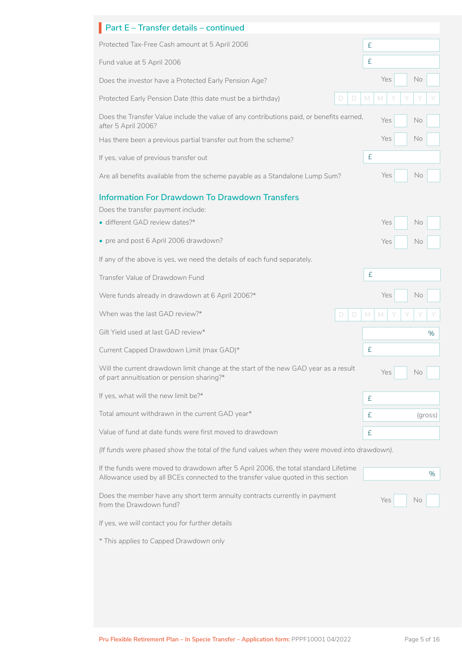| Part E - Transfer details - continued                                                                                                                                    |              |
|--------------------------------------------------------------------------------------------------------------------------------------------------------------------------|--------------|
| Protected Tax-Free Cash amount at 5 April 2006                                                                                                                           | £            |
| Fund value at 5 April 2006                                                                                                                                               | £            |
| Does the investor have a Protected Early Pension Age?                                                                                                                    | Yes<br>No    |
| Protected Early Pension Date (this date must be a birthday)<br>D<br>D                                                                                                    | M<br>M       |
| Does the Transfer Value include the value of any contributions paid, or benefits earned,<br>after 5 April 2006?                                                          | Yes<br>No    |
| Has there been a previous partial transfer out from the scheme?                                                                                                          | Yes<br>No    |
| If yes, value of previous transfer out                                                                                                                                   | £            |
| Are all benefits available from the scheme payable as a Standalone Lump Sum?                                                                                             | Yes<br>No    |
| <b>Information For Drawdown To Drawdown Transfers</b><br>Does the transfer payment include:                                                                              |              |
| · different GAD review dates?*                                                                                                                                           | Yes<br>No    |
| • pre and post 6 April 2006 drawdown?                                                                                                                                    | Yes<br>No    |
| If any of the above is yes, we need the details of each fund separately.                                                                                                 |              |
| Transfer Value of Drawdown Fund                                                                                                                                          | £            |
| Were funds already in drawdown at 6 April 2006?*                                                                                                                         | Yes<br>No    |
| When was the last GAD review?*<br>D<br>D                                                                                                                                 | M<br>M       |
| Gilt Yield used at last GAD review*                                                                                                                                      | %            |
| Current Capped Drawdown Limit (max GAD)*                                                                                                                                 | £            |
| Will the current drawdown limit change at the start of the new GAD year as a result<br>of part annuitisation or pension sharing?*                                        | Yes<br>No    |
| If yes, what will the new limit be?*                                                                                                                                     | £            |
| Total amount withdrawn in the current GAD year*                                                                                                                          | £<br>(gross) |
| Value of fund at date funds were first moved to drawdown                                                                                                                 | £            |
| (If funds were phased show the total of the fund values when they were moved into drawdown).                                                                             |              |
| If the funds were moved to drawdown after 5 April 2006, the total standard Lifetime<br>Allowance used by all BCEs connected to the transfer value quoted in this section | $\%$         |
| Does the member have any short term annuity contracts currently in payment<br>from the Drawdown fund?                                                                    | Yes<br>No    |
|                                                                                                                                                                          |              |
| If yes, we will contact you for further details                                                                                                                          |              |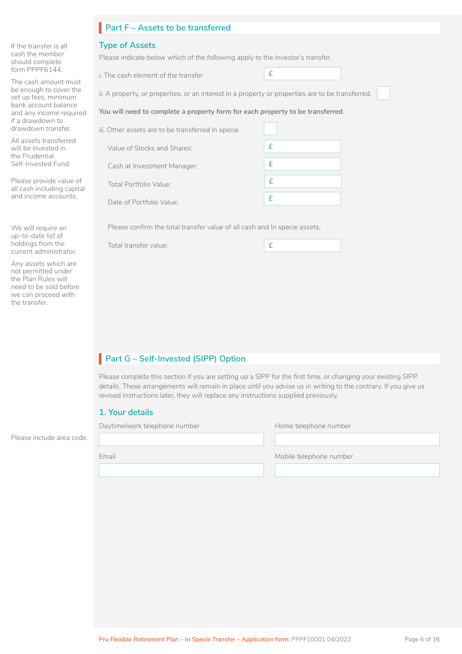| <b>Part F - Assets to be transferred</b> |  |  |
|------------------------------------------|--|--|
|                                          |  |  |

#### **Type of Assets**

If the transfer is all cash the member should complete form PPPF6144.

We will require an up-to-date list of holdings from the current administrator. Any assets which are not permitted under the Plan Rules will need to be sold before we can proceed with

Please provide value of all cash including capital and income accounts.

the transfer.

The cash amount must be enough to cover the set up fees, minimum bank account balance and any income required if a drawdown to drawdown transfer. All assets transferred will be invested in the Prudential Self-Invested Fund.

Please indicate below which of the following apply to the investor's transfer.

i. The cash element of the transfer

ii. A property, or properties, or an interest in a property or properties are to be transferred.

£

#### **You will need to complete a property form for each property to be transferred**.

| Other assets are to be transferred In specie |   |
|----------------------------------------------|---|
| Value of Stocks and Shares:                  | f |
| Cash at Investment Manager:                  | f |
| Total Portfolio Value:                       | f |
| Date of Portfolio Value:                     |   |

Please confirm the total transfer value of all cash and In specie assets.

Total transfer value:

| $\sim$ |
|--------|
|--------|

## **Part G – Self-Invested (SIPP) Option**

Please complete this section if you are setting up a SIPP for the first time, or changing your existing SIPP details. These arrangements will remain in place until you advise us in writing to the contrary. If you give us revised instructions later, they will replace any instructions supplied previously.

#### **1. Your details**

Daytime/work telephone number Home telephone number

Please include area code.

Email Mobile telephone number

iii. Other assets are to be transferred In specie  $\Box$ 

**Pru Flexible Retirement Plan – In Specie Transfer – Application form: PPPF10001 04/2022** Page 6 of 16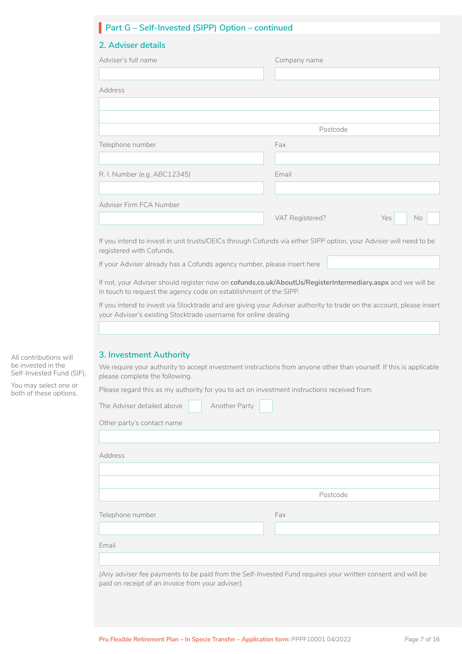| 2. Adviser details                                                      |                                                                                                                     |
|-------------------------------------------------------------------------|---------------------------------------------------------------------------------------------------------------------|
| Adviser's full name                                                     | Company name                                                                                                        |
|                                                                         |                                                                                                                     |
| Address                                                                 |                                                                                                                     |
|                                                                         |                                                                                                                     |
|                                                                         | Postcode                                                                                                            |
| Telephone number                                                        | Fax                                                                                                                 |
|                                                                         |                                                                                                                     |
| R. I. Number (e.g. ABC12345)                                            | Email                                                                                                               |
|                                                                         |                                                                                                                     |
| Adviser Firm FCA Number                                                 |                                                                                                                     |
|                                                                         | VAT Registered?<br>Yes<br><b>No</b>                                                                                 |
|                                                                         |                                                                                                                     |
| registered with Cofunds.                                                | If you intend to invest in unit trusts/OEICs through Cofunds via either SIPP option, your Adviser will need to be   |
| If your Adviser already has a Cofunds agency number, please insert here |                                                                                                                     |
|                                                                         | If not, your Adviser should register now on cofunds.co.uk/AboutUs/RegisterIntermediary.aspx and we will be          |
| in touch to request the agency code on establishment of the SIPP.       |                                                                                                                     |
|                                                                         | If you intend to invest via Stocktrade and are giving your Adviser authority to trade on the account, please insert |
| your Adviser's existing Stocktrade username for online dealing          |                                                                                                                     |
|                                                                         |                                                                                                                     |
| 3. Investment Authority                                                 |                                                                                                                     |
| please complete the following.                                          | We require your authority to accept investment instructions from anyone other than yourself. If this is applicable  |
|                                                                         | Please regard this as my authority for you to act on investment instructions received from:                         |
| The Adviser detailed above                                              | Another Party                                                                                                       |
|                                                                         |                                                                                                                     |
| Other party's contact name                                              |                                                                                                                     |
|                                                                         |                                                                                                                     |
| Address                                                                 |                                                                                                                     |
|                                                                         |                                                                                                                     |
|                                                                         | Postcode                                                                                                            |
|                                                                         |                                                                                                                     |
| Telephone number                                                        | Fax                                                                                                                 |
|                                                                         |                                                                                                                     |
|                                                                         |                                                                                                                     |
| Email                                                                   |                                                                                                                     |

All contributions will be invested in the Self-Invested Fund (SIF). You may select one or both of these options.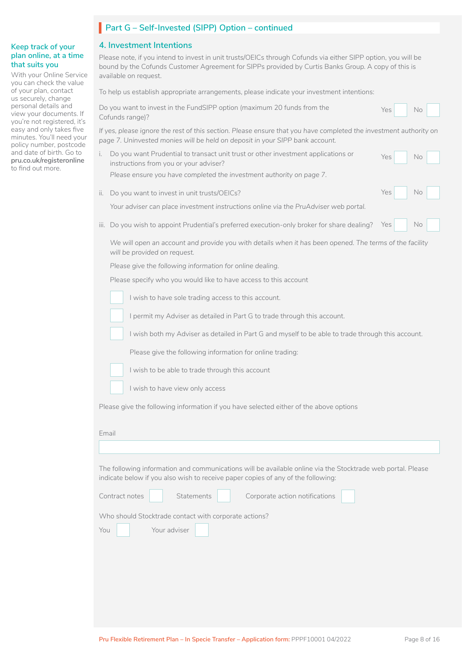## Part G – Self-Invested (SIPP) Option – continued

#### **4. Investment Intentions**

| Cofunds range)?<br>i.<br>ii.<br>III.                                                              | To help us establish appropriate arrangements, please indicate your investment intentions:<br>Do you want to invest in the FundSIPP option (maximum 20 funds from the<br>If yes, please ignore the rest of this section. Please ensure that you have completed the investment authority on<br>page 7. Uninvested monies will be held on deposit in your SIPP bank account.<br>Do you want Prudential to transact unit trust or other investment applications or<br>instructions from you or your adviser?<br>Please ensure you have completed the investment authority on page 7.<br>Do you want to invest in unit trusts/OEICs?<br>Your adviser can place investment instructions online via the PruAdviser web portal.<br>Do you wish to appoint Prudential's preferred execution-only broker for share dealing?<br>We will open an account and provide you with details when it has been opened. The terms of the facility<br>will be provided on request. | Yes<br>Yes<br>Yes<br>Yes | No<br><b>No</b><br>No<br>No |  |  |  |  |  |
|---------------------------------------------------------------------------------------------------|---------------------------------------------------------------------------------------------------------------------------------------------------------------------------------------------------------------------------------------------------------------------------------------------------------------------------------------------------------------------------------------------------------------------------------------------------------------------------------------------------------------------------------------------------------------------------------------------------------------------------------------------------------------------------------------------------------------------------------------------------------------------------------------------------------------------------------------------------------------------------------------------------------------------------------------------------------------|--------------------------|-----------------------------|--|--|--|--|--|
|                                                                                                   |                                                                                                                                                                                                                                                                                                                                                                                                                                                                                                                                                                                                                                                                                                                                                                                                                                                                                                                                                               |                          |                             |  |  |  |  |  |
|                                                                                                   |                                                                                                                                                                                                                                                                                                                                                                                                                                                                                                                                                                                                                                                                                                                                                                                                                                                                                                                                                               |                          |                             |  |  |  |  |  |
|                                                                                                   |                                                                                                                                                                                                                                                                                                                                                                                                                                                                                                                                                                                                                                                                                                                                                                                                                                                                                                                                                               |                          |                             |  |  |  |  |  |
|                                                                                                   |                                                                                                                                                                                                                                                                                                                                                                                                                                                                                                                                                                                                                                                                                                                                                                                                                                                                                                                                                               |                          |                             |  |  |  |  |  |
|                                                                                                   |                                                                                                                                                                                                                                                                                                                                                                                                                                                                                                                                                                                                                                                                                                                                                                                                                                                                                                                                                               |                          |                             |  |  |  |  |  |
|                                                                                                   |                                                                                                                                                                                                                                                                                                                                                                                                                                                                                                                                                                                                                                                                                                                                                                                                                                                                                                                                                               |                          |                             |  |  |  |  |  |
|                                                                                                   |                                                                                                                                                                                                                                                                                                                                                                                                                                                                                                                                                                                                                                                                                                                                                                                                                                                                                                                                                               |                          |                             |  |  |  |  |  |
|                                                                                                   |                                                                                                                                                                                                                                                                                                                                                                                                                                                                                                                                                                                                                                                                                                                                                                                                                                                                                                                                                               |                          |                             |  |  |  |  |  |
|                                                                                                   |                                                                                                                                                                                                                                                                                                                                                                                                                                                                                                                                                                                                                                                                                                                                                                                                                                                                                                                                                               |                          |                             |  |  |  |  |  |
|                                                                                                   | Please give the following information for online dealing.                                                                                                                                                                                                                                                                                                                                                                                                                                                                                                                                                                                                                                                                                                                                                                                                                                                                                                     |                          |                             |  |  |  |  |  |
|                                                                                                   | Please specify who you would like to have access to this account                                                                                                                                                                                                                                                                                                                                                                                                                                                                                                                                                                                                                                                                                                                                                                                                                                                                                              |                          |                             |  |  |  |  |  |
|                                                                                                   | I wish to have sole trading access to this account.                                                                                                                                                                                                                                                                                                                                                                                                                                                                                                                                                                                                                                                                                                                                                                                                                                                                                                           |                          |                             |  |  |  |  |  |
|                                                                                                   | I permit my Adviser as detailed in Part G to trade through this account.                                                                                                                                                                                                                                                                                                                                                                                                                                                                                                                                                                                                                                                                                                                                                                                                                                                                                      |                          |                             |  |  |  |  |  |
| I wish both my Adviser as detailed in Part G and myself to be able to trade through this account. |                                                                                                                                                                                                                                                                                                                                                                                                                                                                                                                                                                                                                                                                                                                                                                                                                                                                                                                                                               |                          |                             |  |  |  |  |  |
|                                                                                                   | Please give the following information for online trading:                                                                                                                                                                                                                                                                                                                                                                                                                                                                                                                                                                                                                                                                                                                                                                                                                                                                                                     |                          |                             |  |  |  |  |  |
|                                                                                                   | I wish to be able to trade through this account                                                                                                                                                                                                                                                                                                                                                                                                                                                                                                                                                                                                                                                                                                                                                                                                                                                                                                               |                          |                             |  |  |  |  |  |
|                                                                                                   | I wish to have view only access                                                                                                                                                                                                                                                                                                                                                                                                                                                                                                                                                                                                                                                                                                                                                                                                                                                                                                                               |                          |                             |  |  |  |  |  |
| Email                                                                                             | Please give the following information if you have selected either of the above options                                                                                                                                                                                                                                                                                                                                                                                                                                                                                                                                                                                                                                                                                                                                                                                                                                                                        |                          |                             |  |  |  |  |  |
| Contract notes<br>You                                                                             | The following information and communications will be available online via the Stocktrade web portal. Please<br>indicate below if you also wish to receive paper copies of any of the following:<br>Statements<br>Corporate action notifications<br>Who should Stocktrade contact with corporate actions?<br>Your adviser                                                                                                                                                                                                                                                                                                                                                                                                                                                                                                                                                                                                                                      |                          |                             |  |  |  |  |  |

#### **Keep track of your**  plan online, at a tim **that suits you**

With your Online Serv you can check the value of your plan, contact us securely, change personal details and view your documents. you're not registered, easy and only takes fiv minutes. You'll need you policy number, postco and date of birth. Go to **[pru.co.uk/registeronline](https://www.pru.co.uk/existing-customers/mypru/)**  to find out more.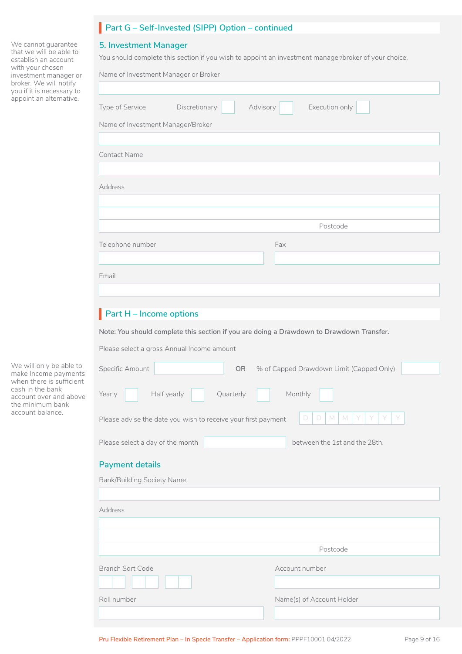## Part G – Self-Invested (SIPP) Option – continued

#### **5. Investment Manager**

You should complete this section if you wish to appoint an investment manager/broker of your choice.

| cordinali di docontro<br>with your chosen<br>investment manager or<br>broker. We will notify<br>you if it is necessary to | Name of Investment Manager or Broker                                                     |           |                                          |  |  |  |  |  |
|---------------------------------------------------------------------------------------------------------------------------|------------------------------------------------------------------------------------------|-----------|------------------------------------------|--|--|--|--|--|
| appoint an alternative.                                                                                                   | Discretionary<br>Type of Service                                                         | Advisory  | Execution only                           |  |  |  |  |  |
|                                                                                                                           | Name of Investment Manager/Broker                                                        |           |                                          |  |  |  |  |  |
|                                                                                                                           |                                                                                          |           |                                          |  |  |  |  |  |
|                                                                                                                           | <b>Contact Name</b>                                                                      |           |                                          |  |  |  |  |  |
|                                                                                                                           | Address                                                                                  |           |                                          |  |  |  |  |  |
|                                                                                                                           |                                                                                          |           |                                          |  |  |  |  |  |
|                                                                                                                           |                                                                                          |           |                                          |  |  |  |  |  |
|                                                                                                                           |                                                                                          |           | Postcode                                 |  |  |  |  |  |
|                                                                                                                           | Telephone number                                                                         | Fax       |                                          |  |  |  |  |  |
|                                                                                                                           |                                                                                          |           |                                          |  |  |  |  |  |
|                                                                                                                           | Email                                                                                    |           |                                          |  |  |  |  |  |
|                                                                                                                           |                                                                                          |           |                                          |  |  |  |  |  |
|                                                                                                                           | $Part H - Income options$                                                                |           |                                          |  |  |  |  |  |
|                                                                                                                           |                                                                                          |           |                                          |  |  |  |  |  |
|                                                                                                                           | Note: You should complete this section if you are doing a Drawdown to Drawdown Transfer. |           |                                          |  |  |  |  |  |
|                                                                                                                           | Please select a gross Annual Income amount                                               |           |                                          |  |  |  |  |  |
| We will only be able to<br>make Income payments<br>when there is sufficient                                               | Specific Amount                                                                          | <b>OR</b> | % of Capped Drawdown Limit (Capped Only) |  |  |  |  |  |
| cash in the bank<br>account over and above<br>the minimum bank                                                            | Half yearly<br>Yearly                                                                    | Quarterly | Monthly                                  |  |  |  |  |  |
| account balance.                                                                                                          | Please advise the date you wish to receive your first payment                            |           | D<br>D<br>M<br>M                         |  |  |  |  |  |
|                                                                                                                           | Please select a day of the month<br>between the 1st and the 28th.                        |           |                                          |  |  |  |  |  |
|                                                                                                                           | <b>Payment details</b>                                                                   |           |                                          |  |  |  |  |  |
|                                                                                                                           | <b>Bank/Building Society Name</b>                                                        |           |                                          |  |  |  |  |  |
|                                                                                                                           |                                                                                          |           |                                          |  |  |  |  |  |
|                                                                                                                           | Address                                                                                  |           |                                          |  |  |  |  |  |
|                                                                                                                           |                                                                                          |           |                                          |  |  |  |  |  |
|                                                                                                                           |                                                                                          |           |                                          |  |  |  |  |  |
|                                                                                                                           |                                                                                          |           | Postcode                                 |  |  |  |  |  |
|                                                                                                                           | <b>Branch Sort Code</b>                                                                  |           | Account number                           |  |  |  |  |  |
|                                                                                                                           |                                                                                          |           |                                          |  |  |  |  |  |
|                                                                                                                           | Roll number                                                                              |           | Name(s) of Account Holder                |  |  |  |  |  |

We cannot guarantee that we will be able to establish an account with your chosen investment manager or broker. We will notify you if it is necessary to appoint an alternative.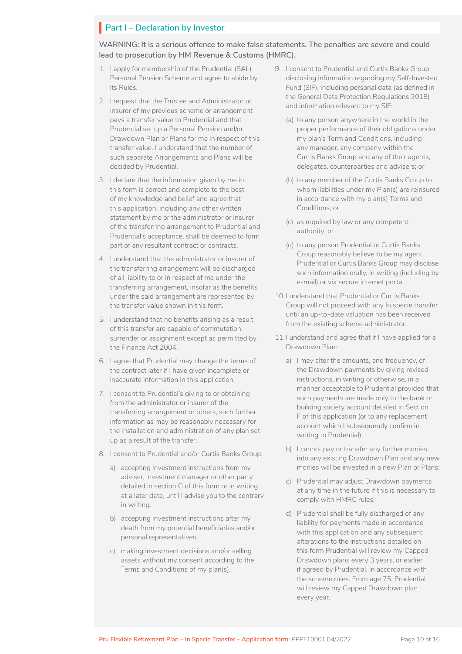## **Part I – Declaration by Investor**

**WARNING: It is a serious offence to make false statements. The penalties are severe and could lead to prosecution by HM Revenue & Customs (HMRC).** 

- 1. I apply for membership of the Prudential (SAL) Personal Pension Scheme and agree to abide by its Rules.
- 2. I request that the Trustee and Administrator or Insurer of my previous scheme or arrangement pays a transfer value to Prudential and that Prudential set up a Personal Pension and/or Drawdown Plan or Plans for me in respect of this transfer value. I understand that the number of such separate Arrangements and Plans will be decided by Prudential.
- 3. I declare that the information given by me in this form is correct and complete to the best of my knowledge and belief and agree that this application, including any other written statement by me or the administrator or insurer of the transferring arrangement to Prudential and Prudential's acceptance, shall be deemed to form part of any resultant contract or contracts.
- 4. I understand that the administrator or insurer of the transferring arrangement will be discharged of all liability to or in respect of me under the transferring arrangement, insofar as the benefits under the said arrangement are represented by the transfer value shown in this form.
- 5. I understand that no benefits arising as a result of this transfer are capable of commutation, surrender or assignment except as permitted by the Finance Act 2004.
- 6. I agree that Prudential may change the terms of the contract later if I have given incomplete or inaccurate information in this application.
- 7. I consent to Prudential's giving to or obtaining from the administrator or insurer of the transferring arrangement or others, such further information as may be reasonably necessary for the installation and administration of any plan set up as a result of the transfer.
- 8. I consent to Prudential and/or Curtis Banks Group:
	- a) accepting investment instructions from my adviser, investment manager or other party detailed in section G of this form or in writing at a later date, until I advise you to the contrary in writing.
	- b) accepting investment instructions after my death from my potential beneficiaries and/or personal representatives.
	- c) making investment decisions and/or selling assets without my consent according to the Terms and Conditions of my plan(s).
- 9. I consent to Prudential and Curtis Banks Group disclosing information regarding my Self-Invested Fund (SIF), including personal data (as defined in the General Data Protection Regulations 2018) and information relevant to my SIF:
	- (a) to any person anywhere in the world in the proper performance of their obligations under my plan's Term and Conditions, including any manager, any company within the Curtis Banks Group and any of their agents, delegates, counterparties and advisers; or
	- (b) to any member of the Curtis Banks Group to whom liabilities under my Plan(s) are reinsured in accordance with my plan(s) Terms and Conditions; or
	- (c) as required by law or any competent authority; or
	- (d) to any person Prudential or Curtis Banks Group reasonably believe to be my agent. Prudential or Curtis Banks Group may disclose such information orally, in writing (including by e-mail) or via secure internet portal.
- 10. I understand that Prudential or Curtis Banks Group will not proceed with any In specie transfer until an up-to-date valuation has been received from the existing scheme administrator.
- 11. I understand and agree that if I have applied for a Drawdown Plan:
	- a) I may alter the amounts, and frequency, of the Drawdown payments by giving revised instructions, in writing or otherwise, in a manner acceptable to Prudential provided that such payments are made only to the bank or building society account detailed in Section F of this application (or to any replacement account which I subsequently confirm in writing to Prudential);
	- b) I cannot pay or transfer any further monies into any existing Drawdown Plan and any new monies will be invested in a new Plan or Plans;
	- c) Prudential may adjust Drawdown payments at any time in the future if this is necessary to comply with HMRC rules;
	- d) Prudential shall be fully discharged of any liability for payments made in accordance with this application and any subsequent alterations to the instructions detailed on this form Prudential will review my Capped Drawdown plans every 3 years, or earlier if agreed by Prudential, in accordance with the scheme rules. From age 75, Prudential will review my Capped Drawdown plan every year.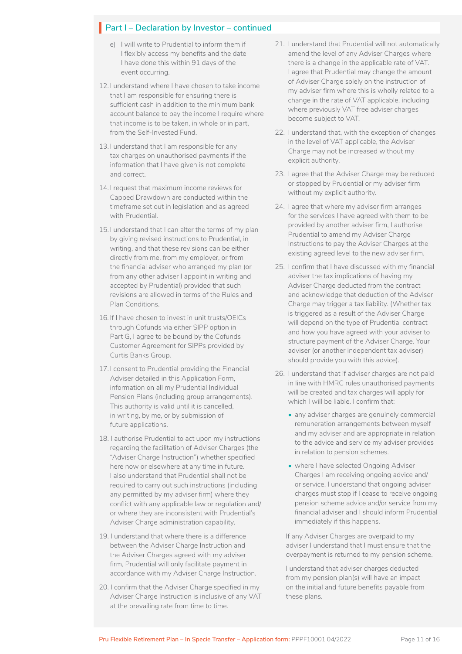## **Part I – Declaration by Investor – continued**

- e) I will write to Prudential to inform them if I flexibly access my benefits and the date I have done this within 91 days of the event occurring.
- 12. I understand where I have chosen to take income that I am responsible for ensuring there is sufficient cash in addition to the minimum bank account balance to pay the income I require where that income is to be taken, in whole or in part, from the Self-Invested Fund.
- 13. I understand that I am responsible for any tax charges on unauthorised payments if the information that I have given is not complete and correct.
- 14. I request that maximum income reviews for Capped Drawdown are conducted within the timeframe set out in legislation and as agreed with Prudential.
- 15. I understand that I can alter the terms of my plan by giving revised instructions to Prudential, in writing, and that these revisions can be either directly from me, from my employer, or from the financial adviser who arranged my plan (or from any other adviser I appoint in writing and accepted by Prudential) provided that such revisions are allowed in terms of the Rules and Plan Conditions.
- 16. If I have chosen to invest in unit trusts/OEICs through Cofunds via either SIPP option in Part G, I agree to be bound by the Cofunds Customer Agreement for SIPPs provided by Curtis Banks Group.
- 17. I consent to Prudential providing the Financial Adviser detailed in this Application Form, information on all my Prudential Individual Pension Plans (including group arrangements). This authority is valid until it is cancelled, in writing, by me, or by submission of future applications.
- 18. I authorise Prudential to act upon my instructions regarding the facilitation of Adviser Charges (the "Adviser Charge Instruction") whether specified here now or elsewhere at any time in future. I also understand that Prudential shall not be required to carry out such instructions (including any permitted by my adviser firm) where they conflict with any applicable law or regulation and/ or where they are inconsistent with Prudential's Adviser Charge administration capability.
- 19. I understand that where there is a difference between the Adviser Charge Instruction and the Adviser Charges agreed with my adviser firm, Prudential will only facilitate payment in accordance with my Adviser Charge Instruction.
- 20. I confirm that the Adviser Charge specified in my Adviser Charge Instruction is inclusive of any VAT at the prevailing rate from time to time.
- 21. I understand that Prudential will not automatically amend the level of any Adviser Charges where there is a change in the applicable rate of VAT. I agree that Prudential may change the amount of Adviser Charge solely on the instruction of my adviser firm where this is wholly related to a change in the rate of VAT applicable, including where previously VAT free adviser charges become subject to VAT.
- 22. I understand that, with the exception of changes in the level of VAT applicable, the Adviser Charge may not be increased without my explicit authority.
- 23. I agree that the Adviser Charge may be reduced or stopped by Prudential or my adviser firm without my explicit authority.
- 24. I agree that where my adviser firm arranges for the services I have agreed with them to be provided by another adviser firm, I authorise Prudential to amend my Adviser Charge Instructions to pay the Adviser Charges at the existing agreed level to the new adviser firm.
- 25. I confirm that I have discussed with my financial adviser the tax implications of having my Adviser Charge deducted from the contract and acknowledge that deduction of the Adviser Charge may trigger a tax liability. (Whether tax is triggered as a result of the Adviser Charge will depend on the type of Prudential contract and how you have agreed with your adviser to structure payment of the Adviser Charge. Your adviser (or another independent tax adviser) should provide you with this advice).
- 26. I understand that if adviser charges are not paid in line with HMRC rules unauthorised payments will be created and tax charges will apply for which I will be liable. I confirm that:
	- any adviser charges are genuinely commercial remuneration arrangements between myself and my adviser and are appropriate in relation to the advice and service my adviser provides in relation to pension schemes.
	- where I have selected Ongoing Adviser Charges I am receiving ongoing advice and/ or service, I understand that ongoing adviser charges must stop if I cease to receive ongoing pension scheme advice and/or service from my financial adviser and I should inform Prudential immediately if this happens.

If any Adviser Charges are overpaid to my adviser I understand that I must ensure that the overpayment is returned to my pension scheme.

I understand that adviser charges deducted from my pension plan(s) will have an impact on the initial and future benefits payable from these plans.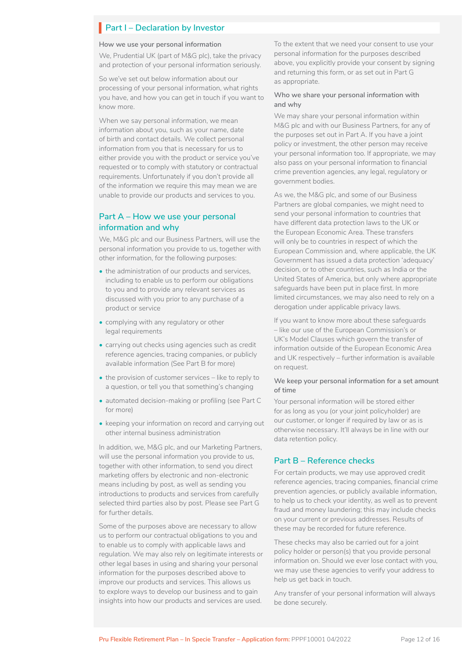#### **Part I – Declaration by Investor**

#### **How we use your personal information**

We, Prudential UK (part of M&G plc), take the privacy and protection of your personal information seriously.

So we've set out below information about our processing of your personal information, what rights you have, and how you can get in touch if you want to know more.

When we say personal information, we mean information about you, such as your name, date of birth and contact details. We collect personal information from you that is necessary for us to either provide you with the product or service you've requested or to comply with statutory or contractual requirements. Unfortunately if you don't provide all of the information we require this may mean we are unable to provide our products and services to you.

#### **Part A – How we use your personal information and why**

We, M&G plc and our Business Partners, will use the personal information you provide to us, together with other information, for the following purposes:

- the administration of our products and services. including to enable us to perform our obligations to you and to provide any relevant services as discussed with you prior to any purchase of a product or service
- complying with any regulatory or other legal requirements
- carrying out checks using agencies such as credit reference agencies, tracing companies, or publicly available information (See Part B for more)
- the provision of customer services like to reply to a question, or tell you that something's changing
- automated decision-making or profiling (see Part C for more)
- keeping your information on record and carrying out other internal business administration

In addition, we, M&G plc, and our Marketing Partners, will use the personal information you provide to us, together with other information, to send you direct marketing offers by electronic and non-electronic means including by post, as well as sending you introductions to products and services from carefully selected third parties also by post. Please see Part G for further details.

Some of the purposes above are necessary to allow us to perform our contractual obligations to you and to enable us to comply with applicable laws and regulation. We may also rely on legitimate interests or other legal bases in using and sharing your personal information for the purposes described above to improve our products and services. This allows us to explore ways to develop our business and to gain insights into how our products and services are used.

To the extent that we need your consent to use your personal information for the purposes described above, you explicitly provide your consent by signing and returning this form, or as set out in Part G as appropriate.

#### **Who we share your personal information with and why**

We may share your personal information within M&G plc and with our Business Partners, for any of the purposes set out in Part A. If you have a joint policy or investment, the other person may receive your personal information too. If appropriate, we may also pass on your personal information to financial crime prevention agencies, any legal, regulatory or government bodies.

As we, the M&G plc, and some of our Business Partners are global companies, we might need to send your personal information to countries that have different data protection laws to the UK or the European Economic Area. These transfers will only be to countries in respect of which the European Commission and, where applicable, the UK Government has issued a data protection 'adequacy' decision, or to other countries, such as India or the United States of America, but only where appropriate safeguards have been put in place first. In more limited circumstances, we may also need to rely on a derogation under applicable privacy laws.

If you want to know more about these safeguards – like our use of the European Commission's or UK's Model Clauses which govern the transfer of information outside of the European Economic Area and UK respectively – further information is available on request.

#### **We keep your personal information for a set amount of time**

Your personal information will be stored either for as long as you (or your joint policyholder) are our customer, or longer if required by law or as is otherwise necessary. It'll always be in line with our data retention policy.

#### **Part B – Reference checks**

For certain products, we may use approved credit reference agencies, tracing companies, financial crime prevention agencies, or publicly available information, to help us to check your identity, as well as to prevent fraud and money laundering; this may include checks on your current or previous addresses. Results of these may be recorded for future reference.

These checks may also be carried out for a joint policy holder or person(s) that you provide personal information on. Should we ever lose contact with you, we may use these agencies to verify your address to help us get back in touch.

Any transfer of your personal information will always be done securely.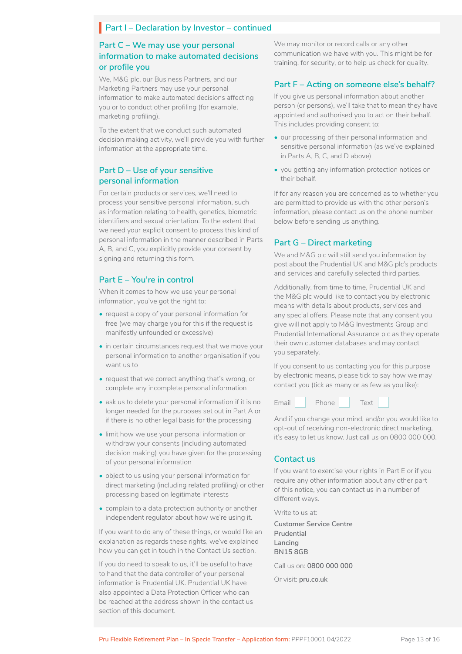#### **Part I – Declaration by Investor – continued**

#### **Part C – We may use your personal information to make automated decisions or profile you**

We, M&G plc, our Business Partners, and our Marketing Partners may use your personal information to make automated decisions affecting you or to conduct other profiling (for example, marketing profiling).

To the extent that we conduct such automated decision making activity, we'll provide you with further information at the appropriate time.

#### **Part D – Use of your sensitive personal information**

For certain products or services, we'll need to process your sensitive personal information, such as information relating to health, genetics, biometric identifiers and sexual orientation. To the extent that we need your explicit consent to process this kind of personal information in the manner described in Parts A, B, and C, you explicitly provide your consent by signing and returning this form.

#### **Part E – You're in control**

When it comes to how we use your personal information, you've got the right to:

- request a copy of your personal information for free (we may charge you for this if the request is manifestly unfounded or excessive)
- in certain circumstances request that we move your personal information to another organisation if you want us to
- request that we correct anything that's wrong, or complete any incomplete personal information
- ask us to delete your personal information if it is no longer needed for the purposes set out in Part A or if there is no other legal basis for the processing
- limit how we use your personal information or withdraw your consents (including automated decision making) you have given for the processing of your personal information
- object to us using your personal information for direct marketing (including related profiling) or other processing based on legitimate interests
- complain to a data protection authority or another independent regulator about how we're using it.

If you want to do any of these things, or would like an explanation as regards these rights, we've explained how you can get in touch in the Contact Us section.

If you do need to speak to us, it'll be useful to have to hand that the data controller of your personal information is Prudential UK. Prudential UK have also appointed a Data Protection Officer who can be reached at the address shown in the contact us section of this document.

We may monitor or record calls or any other communication we have with you. This might be for training, for security, or to help us check for quality.

#### **Part F – Acting on someone else's behalf?**

If you give us personal information about another person (or persons), we'll take that to mean they have appointed and authorised you to act on their behalf. This includes providing consent to:

- our processing of their personal information and sensitive personal information (as we've explained in Parts A, B, C, and D above)
- you getting any information protection notices on their behalf.

If for any reason you are concerned as to whether you are permitted to provide us with the other person's information, please contact us on the phone number below before sending us anything.

#### **Part G – Direct marketing**

We and M&G plc will still send you information by post about the Prudential UK and M&G plc's products and services and carefully selected third parties.

Additionally, from time to time, Prudential UK and the M&G plc would like to contact you by electronic means with details about products, services and any special offers. Please note that any consent you give will not apply to M&G Investments Group and Prudential International Assurance plc as they operate their own customer databases and may contact you separately.

If you consent to us contacting you for this purpose by electronic means, please tick to say how we may contact you (tick as many or as few as you like):



And if you change your mind, and/or you would like to opt-out of receiving non-electronic direct marketing, it's easy to let us know. Just call us on 0800 000 000.

#### **Contact us**

If you want to exercise your rights in Part E or if you require any other information about any other part of this notice, you can contact us in a number of different ways.

Write to us at:

**Customer Service Centre Prudential Lancing BN15 8GB**

Call us on: **0800 000 000**

Or visit: **pru.co.uk**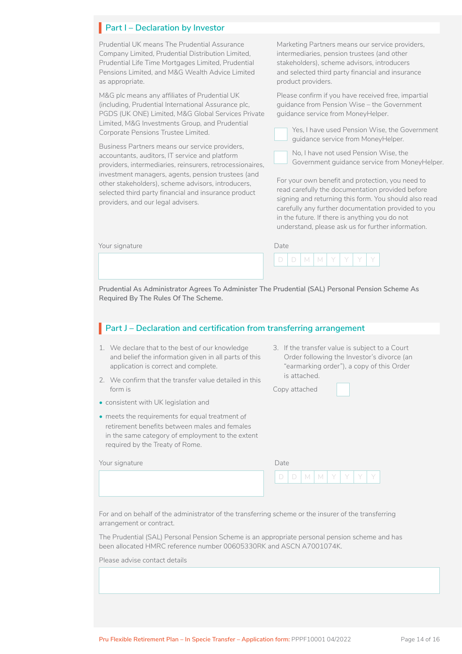## **Part I – Declaration by Investor**

Prudential UK means The Prudential Assurance Company Limited, Prudential Distribution Limited, Prudential Life Time Mortgages Limited, Prudential Pensions Limited, and M&G Wealth Advice Limited as appropriate.

M&G plc means any affiliates of Prudential UK (including, Prudential International Assurance plc, PGDS (UK ONE) Limited, M&G Global Services Private Limited, M&G Investments Group, and Prudential Corporate Pensions Trustee Limited.

Business Partners means our service providers, accountants, auditors, IT service and platform providers, intermediaries, reinsurers, retrocessionaires, investment managers, agents, pension trustees (and other stakeholders), scheme advisors, introducers, selected third party financial and insurance product providers, and our legal advisers.

Marketing Partners means our service providers, intermediaries, pension trustees (and other stakeholders), scheme advisors, introducers and selected third party financial and insurance product providers.

Please confirm if you have received free, impartial guidance from Pension Wise – the Government guidance service from MoneyHelper.



Yes, I have used Pension Wise, the Government guidance service from MoneyHelper.



No, I have not used Pension Wise, the Government guidance service from MoneyHelper.

For your own benefit and protection, you need to read carefully the documentation provided before signing and returning this form. You should also read carefully any further documentation provided to you in the future. If there is anything you do not understand, please ask us for further information.

| Your signature | Date |
|----------------|------|
|----------------|------|

| V | М |  |  |
|---|---|--|--|

**Prudential As Administrator Agrees To Administer The Prudential (SAL) Personal Pension Scheme As Required By The Rules Of The Scheme.**

## **Part J – Declaration and certification from transferring arrangement**

- 1. We declare that to the best of our knowledge and belief the information given in all parts of this application is correct and complete.
- 2. We confirm that the transfer value detailed in this form is
- consistent with UK legislation and
- meets the requirements for equal treatment of retirement benefits between males and females in the same category of employment to the extent required by the Treaty of Rome.

| 3. If the transfer value is subject to a Court |
|------------------------------------------------|
| Order following the Investor's divorce (an     |
| "earmarking order"), a copy of this Order      |
| is attached.                                   |

LJ

Copy attached

| Your signature | Date |
|----------------|------|
|----------------|------|

| )ate |   |   |  |  |
|------|---|---|--|--|
|      | ν | ν |  |  |

For and on behalf of the administrator of the transferring scheme or the insurer of the transferring arrangement or contract.

The Prudential (SAL) Personal Pension Scheme is an appropriate personal pension scheme and has been allocated HMRC reference number 00605330RK and ASCN A7001074K.

Please advise contact details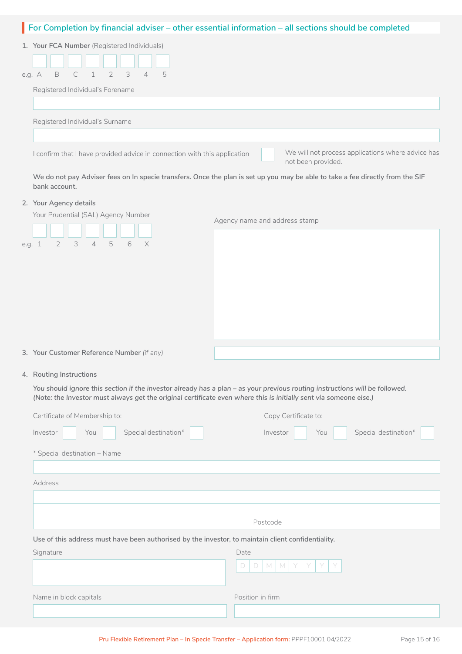### **For Completion by financial adviser – other essential information – all sections should be completed**

| 1. Your FCA Number (Registered Individuals)                                                                                                          |
|------------------------------------------------------------------------------------------------------------------------------------------------------|
| e.g. A B C 1 2 3 4<br>5                                                                                                                              |
| Registered Individual's Forename                                                                                                                     |
|                                                                                                                                                      |
| Registered Individual's Surname                                                                                                                      |
|                                                                                                                                                      |
| We will not process applications where advice has<br>I confirm that I have provided advice in connection with this application<br>not been provided. |

**We do not pay Adviser fees on In specie transfers. Once the plan is set up you may be able to take a fee directly from the SIF bank account.**

#### **2. Your Agency details**

| Your Prudential (SAL) Agency Number        | Agency name and address stamp |  |  |
|--------------------------------------------|-------------------------------|--|--|
|                                            |                               |  |  |
| 2 3 4 5 6 X<br>e.g. 1                      |                               |  |  |
|                                            |                               |  |  |
|                                            |                               |  |  |
|                                            |                               |  |  |
|                                            |                               |  |  |
|                                            |                               |  |  |
| 3. Your Customer Reference Number (if any) |                               |  |  |

### **4. Routing Instructions**

*You should ignore this section if the investor already has a plan – as your previous routing instructions will be followed. (Note: the Investor must always get the original certificate even where this is initially sent via someone else.)*

| Certificate of Membership to:                                                                      | Copy Certificate to:                    |
|----------------------------------------------------------------------------------------------------|-----------------------------------------|
| Special destination*<br>Investor<br>You                                                            | Special destination*<br>Investor<br>You |
| * Special destination - Name                                                                       |                                         |
|                                                                                                    |                                         |
| Address                                                                                            |                                         |
|                                                                                                    |                                         |
|                                                                                                    |                                         |
|                                                                                                    | Postcode                                |
| Use of this address must have been authorised by the investor, to maintain client confidentiality. |                                         |
| Signature                                                                                          | Date                                    |
|                                                                                                    | $\Box$<br>$\Box$<br>M<br>M              |
| Name in block capitals                                                                             | Position in firm                        |